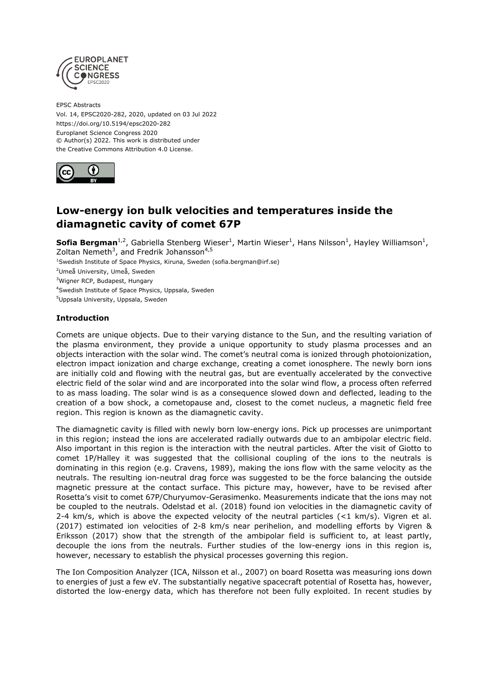

EPSC Abstracts Vol. 14, EPSC2020-282, 2020, updated on 03 Jul 2022 https://doi.org/10.5194/epsc2020-282 Europlanet Science Congress 2020 © Author(s) 2022. This work is distributed under the Creative Commons Attribution 4.0 License.



# **Low-energy ion bulk velocities and temperatures inside the diamagnetic cavity of comet 67P**

**Sofia Bergman<sup>1,2</sup>,** Gabriella Stenberg Wieser<sup>1</sup>, Martin Wieser<sup>1</sup>, Hans Nilsson<sup>1</sup>, Hayley Williamson<sup>1</sup>, Zoltan Nemeth<sup>3</sup>, and Fredrik Johansson<sup>4,5</sup> <sup>1</sup>Swedish Institute of Space Physics, Kiruna, Sweden (sofia.bergman@irf.se) <sup>2</sup>Umeå University, Umeå, Sweden

<sup>3</sup>Wigner RCP, Budapest, Hungary

<sup>4</sup>Swedish Institute of Space Physics, Uppsala, Sweden

<sup>5</sup>Uppsala University, Uppsala, Sweden

### **Introduction**

Comets are unique objects. Due to their varying distance to the Sun, and the resulting variation of the plasma environment, they provide a unique opportunity to study plasma processes and an objects interaction with the solar wind. The comet's neutral coma is ionized through photoionization, electron impact ionization and charge exchange, creating a comet ionosphere. The newly born ions are initially cold and flowing with the neutral gas, but are eventually accelerated by the convective electric field of the solar wind and are incorporated into the solar wind flow, a process often referred to as mass loading. The solar wind is as a consequence slowed down and deflected, leading to the creation of a bow shock, a cometopause and, closest to the comet nucleus, a magnetic field free region. This region is known as the diamagnetic cavity.

The diamagnetic cavity is filled with newly born low-energy ions. Pick up processes are unimportant in this region; instead the ions are accelerated radially outwards due to an ambipolar electric field. Also important in this region is the interaction with the neutral particles. After the visit of Giotto to comet 1P/Halley it was suggested that the collisional coupling of the ions to the neutrals is dominating in this region (e.g. Cravens, 1989), making the ions flow with the same velocity as the neutrals. The resulting ion-neutral drag force was suggested to be the force balancing the outside magnetic pressure at the contact surface. This picture may, however, have to be revised after Rosetta's visit to comet 67P/Churyumov-Gerasimenko. Measurements indicate that the ions may not be coupled to the neutrals. Odelstad et al. (2018) found ion velocities in the diamagnetic cavity of 2-4 km/s, which is above the expected velocity of the neutral particles (<1 km/s). Vigren et al. (2017) estimated ion velocities of 2-8 km/s near perihelion, and modelling efforts by Vigren & Eriksson (2017) show that the strength of the ambipolar field is sufficient to, at least partly, decouple the ions from the neutrals. Further studies of the low-energy ions in this region is, however, necessary to establish the physical processes governing this region.

The Ion Composition Analyzer (ICA, Nilsson et al., 2007) on board Rosetta was measuring ions down to energies of just a few eV. The substantially negative spacecraft potential of Rosetta has, however, distorted the low-energy data, which has therefore not been fully exploited. In recent studies by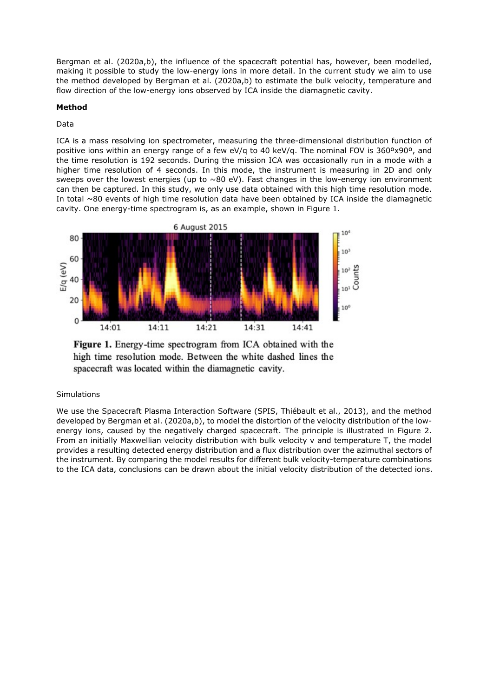Bergman et al. (2020a,b), the influence of the spacecraft potential has, however, been modelled, making it possible to study the low-energy ions in more detail. In the current study we aim to use the method developed by Bergman et al. (2020a,b) to estimate the bulk velocity, temperature and flow direction of the low-energy ions observed by ICA inside the diamagnetic cavity.

## **Method**

## Data

ICA is a mass resolving ion spectrometer, measuring the three-dimensional distribution function of positive ions within an energy range of a few eV/q to 40 keV/q. The nominal FOV is 360°x90°, and the time resolution is 192 seconds. During the mission ICA was occasionally run in a mode with a higher time resolution of 4 seconds. In this mode, the instrument is measuring in 2D and only sweeps over the lowest energies (up to  $\sim80$  eV). Fast changes in the low-energy ion environment can then be captured. In this study, we only use data obtained with this high time resolution mode. In total  $\sim$ 80 events of high time resolution data have been obtained by ICA inside the diamagnetic cavity. One energy-time spectrogram is, as an example, shown in Figure 1.



Figure 1. Energy-time spectrogram from ICA obtained with the high time resolution mode. Between the white dashed lines the spacecraft was located within the diamagnetic cavity.

## Simulations

We use the Spacecraft Plasma Interaction Software (SPIS, Thiébault et al., 2013), and the method developed by Bergman et al. (2020a,b), to model the distortion of the velocity distribution of the lowenergy ions, caused by the negatively charged spacecraft. The principle is illustrated in Figure 2. From an initially Maxwellian velocity distribution with bulk velocity v and temperature T, the model provides a resulting detected energy distribution and a flux distribution over the azimuthal sectors of the instrument. By comparing the model results for different bulk velocity-temperature combinations to the ICA data, conclusions can be drawn about the initial velocity distribution of the detected ions.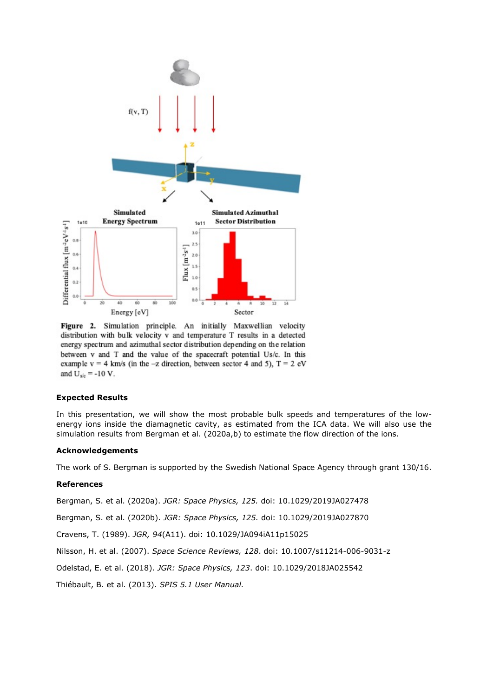

Figure 2. Simulation principle. An initially Maxwellian velocity distribution with bulk velocity v and temperature T results in a detected energy spectrum and azimuthal sector distribution depending on the relation between v and T and the value of the spacecraft potential Us/c. In this example  $v = 4$  km/s (in the  $-z$  direction, between sector 4 and 5),  $T = 2$  eV and  $U_{s/c}$  = -10 V.

#### **Expected Results**

In this presentation, we will show the most probable bulk speeds and temperatures of the lowenergy ions inside the diamagnetic cavity, as estimated from the ICA data. We will also use the simulation results from Bergman et al. (2020a,b) to estimate the flow direction of the ions.

#### **Acknowledgements**

The work of S. Bergman is supported by the Swedish National Space Agency through grant 130/16.

#### **References**

Bergman, S. et al. (2020a). *JGR: Space Physics, 125.* doi: 10.1029/2019JA027478

Bergman, S. et al. (2020b). *JGR: Space Physics, 125.* doi: 10.1029/2019JA027870

Cravens, T. (1989). *JGR, 94*(A11). doi: 10.1029/JA094iA11p15025

Nilsson, H. et al. (2007). *Space Science Reviews, 128*. doi: 10.1007/s11214-006-9031-z

Odelstad, E. et al. (2018). *JGR: Space Physics, 123*. doi: 10.1029/2018JA025542

Thiébault, B. et al. (2013). *SPIS 5.1 User Manual.*